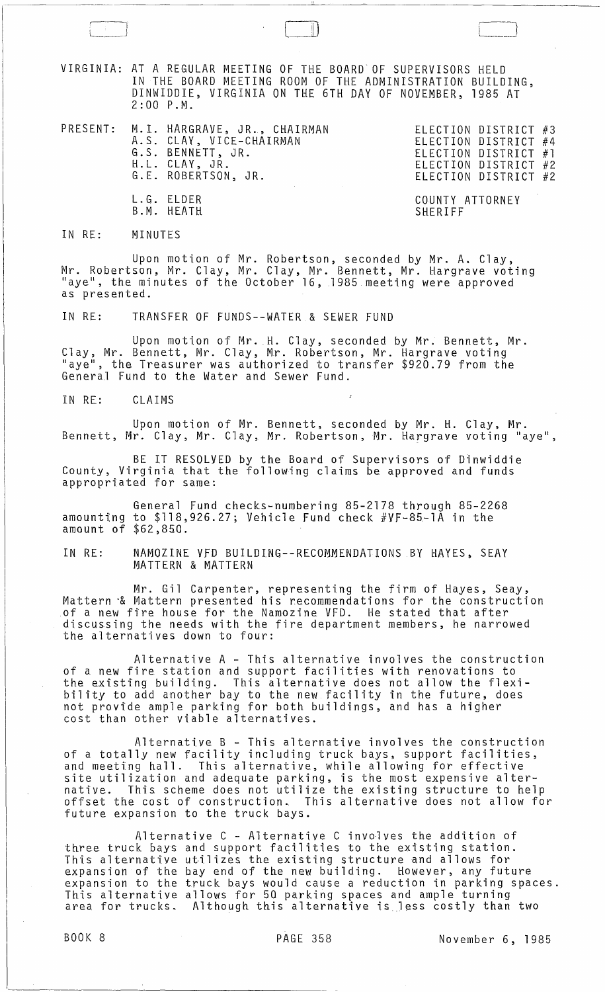VIRGINIA: AT A REGULAR MEETING OF THE BOARD OF SUPERVISORS HELD IN THE BOARD MEETING ROOM OF THE ADMINISTRATION BUILDING, DINWIDDIE, VIRGINIA ON THE 6TH DAY OF NOVEMBER, 1985 AT  $2:00$   $P.M.$ 

PRESENT: M.l. HARGRAVE, JR., CHAIRMAN A.S. CLAY, VICE-CHAIRMAN G.S. BENNETT, JR. H.L. CLAY, JR. G.E. ROBERTSON, JR. L.G. ELDER B.M. HEATH

ELECTION DISTRICT #3 ELECTION DISTRICT #4 ELECTION DISTRICT #1 ELECTION DISTRICT #2 ELECTION DISTRICT #2

COUNTY ATTORNEY SHERIFF

IN RE: MINUTES

Upon motion of Mr. Robertson, seconded by Mr. A. Clay, Mr. Robertson, Mr. Clay, Mr. Clay, Mr. Bennett, Mr. Hargrave voting<br>"aye", the minutes of the October 16, 1985 meeting were approved as presented.

IN RE: TRANSFER OF FUNDS--WATER & SEWER FUND

Upon motion of Mr. H. Clay, seconded by Mr. Bennett, Mr. Clay, Mr. Bennett, Mr. Clay, Mr. Robertson, Mr. Hargrave voting "aye", the Treasurer was authorized to transfer \$920.79 from the General Fund to the Water and Sewer Fund.

IN RE: CLAIMS

Upon motion of Mr. Bennett, seconded by Mr. H. Clay, Mr. Bennett, Mr. Clay, Mr. Clay, Mr. Robertson, Mr. Hargrave voting "aye",

BE IT RESOLVED by the Board of Supervisors of Dinwiddie County, Virginia that the following claims be approved and funds appropriated for same:

General Fund checks-numbering 85-2178 through 85-2268 amounting to \$118,926.27; Vehicle Fund check #VF-85-1A in the amount of \$62,850.

IN RE: NAMOZINE VFD BUILDING--RECOMMENDATIONS BY HAYES, SEAY MATTERN & MATTERN

Mr. Gil Carpenter, representing the firm of Hayes, Seay, Mattern "& Mattern presented his recommendations for the construction of a new fire house for the Namozine VFD. He stated that after discussing the needs with the fire department members, he narrowed the alternatives down to four:

Alternative A - This alternative involves the construction of a new fire station and support facilities with renovations to the existing building. This alternative does not allow the flexibility to add another bay to the new facility in the future, does not provide ample parking for both buildings, and has a higher cost than other viable alternatives.

Alternative B - This alternative involves the construction of a totally new facility including truck bays, support facilities, and meeting hall. This alternative, while allowing for effective site utilization and adequate parking, is the most expensive alternative. This scheme does not utilize the existing structure to help offset the cost of construction. This alternative does not allow for future expansion to the truck bays.

Alternative C - Alternative C involves the addition of three truck bays and support facilities to the existing station. This alternative utilizes the existing structure and allows for expansion of the bay end of the new building. However, any future expansion to the truck bays would cause a reduction in parking spaces. This alternative allows for 50 parking spaces and ample turning area for trucks. Although this alternative is less costly than two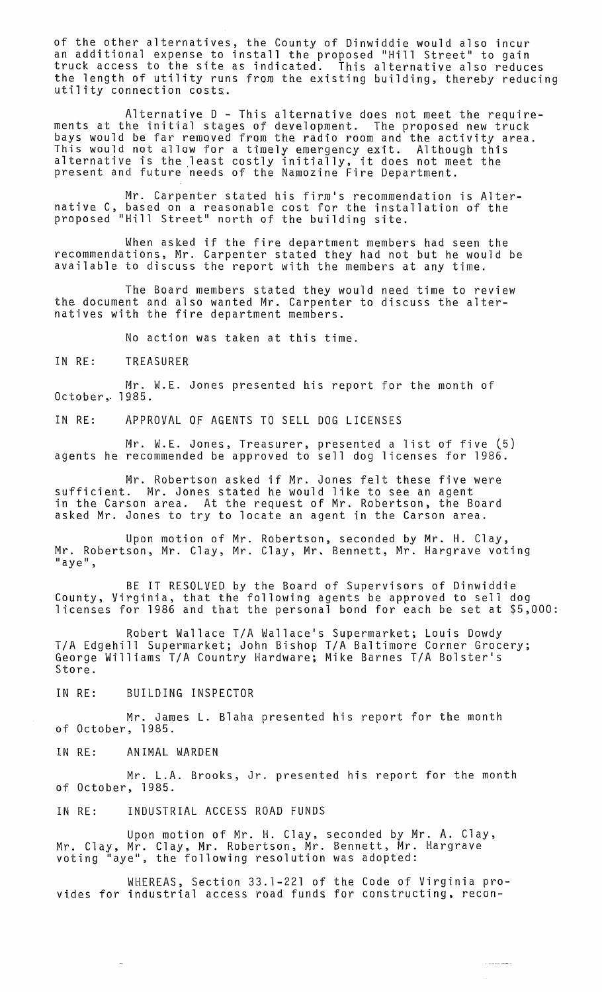of the other alternatives, the County of Dinwiddie would also incur an additional expense to install the proposed "Hill Street" to gain truck access to the site as indicated. This alternative also reduces the length of utility runs from the existing building, thereby reducing utility connection costs.

Alternative 0 - This alternative does not meet the requirements at the initial stages of development. The proposed new truck bays would be far removed from the radio room and the activity area. This would not allow for a timely emergency exit. Although this ints would not dilow for a timely emergency exit. Although this present and future needs of the Namozine Fire Department.

Mr. Carpenter stated his firm's recommendation is Alternative C, based on a reasonable cost for the installation of the proposed "Hill Street" north of the building site.

When asked if the fire department members had seen the recommendations, Mr. Carpenter stated they had not but he would be available to discuss the report with the members at any time.

The Board members stated they would need time to review the document and also wanted Mr. Carpenter to discuss the alternatives with the fire department members.

No action was taken at this time.

IN RE: TREASURER

Mr. W.E. Jones presented his report for the month of October ,. 1985,.

IN RE: APPROVAL OF AGENTS TO SELL DOG LICENSES

Mr. W.E. Jones, Treasurer, presented a list of five (5) agents he recommended be approved to sell dog licenses for 1986.

Mr. Robertson asked if Mr. Jones felt these five were sufficient. Mr. Jones stated he would like to see an agent in the Carson area. At the request of Mr. Robertson, the Board asked Mr. Jones to try to locate an agent in the Carson area.

Upon motion of Mr. Robertson, seconded by Mr. H. Clay, Mr. Robertson, Mr. Clay, Mr. Clay, Mr. Bennett, Mr. Hargrave voting<br>"aye",

BE IT RESOLVED by the Board of Supervisors of Dinwiddie County, Virginia, that the following agents be approved to sell dog licenses for 1986 and that the personal bond for each be set at \$5,000:

Robert Wallace *TIA* Wallace1s Supermarket; Louis Dowdy *TIA* Edgehill Supermarket; John Bishop *TIA* Baltimore Corner Grocery; George Williams *TIA* Country Hardware; Mike Barnes *TIA* Bolster1s Store.

IN RE: BUILDING INSPECTOR

Mr. James L. Blaha presented his report for the month of October, 1985.

IN RE: ANIMAL WARDEN

Mr. L.A. Brooks, Jr. presented his report for the month of October, 1985.

IN RE: INDUSTRIAL ACCESS ROAD FUNDS

Upon motion of Mr. H. Clay, seconded by Mr. A. Clay, Mr. Clay, Mr. Clay, Mr. Robertson, Mr. Bennett, Mr. Hargrave<br>voting "aye", the following resolution was adopted:

WHEREAS, Section 33.1-221 of the Code of Virginia provides for industrial access road funds for constructing, recon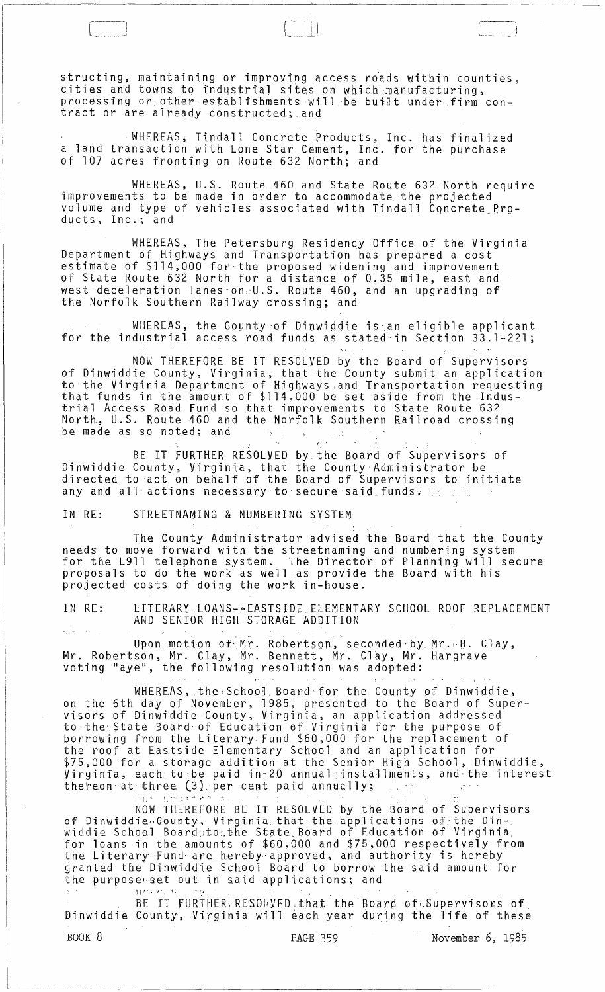structing, maintaining or improving access roads within counties, cities and towns to industrial sites on which manufacturing, processing or other establishments will be built under firm contract or are already constructed; and

WHEREAS, Tindall Concrete Products, Inc. has finalized a land transaction with Lone Star Cement, Inc. for the purchase of 107 acres fronting on Route 632 North; and

WHEREAS, U.S. Route 460 and State Route 632 North require improvements to be made in order to accommodate the projected volume and type of vehicles associated with Tindall Concrete Products, Inc.; and

WHEREAS, The Petersburg Residency Office of the Virginia Department of Highways and Transportation has prepared a cost estimate of \$114,000 for the proposed widening and improvement of State Route 632 North for a distance of 0.35 mile, east and west deceleration 1anes-on,'U.S. Route 460, and an upgrading of the Norfolk Southern Railway crossing; and

WHEREAS, the County of Dinwiddie is an eligible applicant for the industrial access road funds as stated in Section 33.1-221;

NOW THEREFORE BE IT RESOLVED by the Board of Supervisors of Dinwiddie County, Virginia, that the County submit an application to the Virginia Department of Highways ,and Transportation requesting that funds in the amount of \$114,000 be set aside from the Industrial Access Road Fund so that improvements to State Route 632 North, U.S. Route 460 and the Norfolk Southern Railroad crossing be made as so noted; and  $\mathbf{r}_{\mathbf{y}}$ 

 $($  ,  $\alpha$  ,  $\alpha$  ,  $\alpha$  ,  $\alpha$  ,  $\alpha$  ,  $\alpha$ BE IT FURTHER RESOLVED by the Board of Supervisors of Dinwiddie County, Virginia, that the County Administrator be directed to act on behalf of the Board of Supervisors to initiate any and all actions necessary to secure said. funds and the

IN RE: STREETNAMING & NUMBERING SYSTEM

The County Administrator advised the Board that the County needs to move. forward with the streetnaming and numbering system for the E911 telephone system. The Director of Planning will secure proposals to do the work as well as provide the Board with his projected costs of doing the work in-house.

IN RE: LITERARY LOANS-~EASTSIDE\_ELEMENTARY SCHOOL ROOF REPLACEMENT AND SENIOR HIGH STORAGE ADDITION

Upon motion of Mr. Robertson, seconded by Mr. H. Clay, Mr. Robertson, Mr. Clay, Mr. Bennett, Mr. Clay, Mr. Hargrave voting "aye", the following resolution was adopted:

WHEREAS, the:School Board·for the County of Dinwiddie, on the 6th day of November, 1985, presented to the Board of Supervisors of Dinwiddie County, Virginia, an application addressed to·the-State Board of Education of Virginia for the purpose of borrowing from the Literary Fund \$60,000 for the replacement of the roof at Eastside Elementary School and an application for \$75,000 for a storage addition at the Senior High School, Dinwiddie, Virginia, each, to be paid in:20 annua1:dnstal1ment\$, and· the interest thereon at three (3) per cent paid annually;

, ii. " ), it is to see that the set of  $\mathcal{L}$  is the set of  $\mathcal{L}$  . In the set of  $\mathcal{L}$  is the set of  $\mathcal{L}$ NOW THEREFORE BE IT RESOLVED by the Board of Supervisors of Dinwiddie. Gounty, Virginia that the applications of the Dinwiddie School Board·;to:.the State. Board of Education of Virginia, for loans in the amounts of \$60,000 and \$75,000 respectively from the Literary Fund· are hereby approved, and authority is hereby granted the Dinwiddie School Board to borrow the said amount for the purposewset out in said applications; and

BE IT FURTHER: RESOLVED.that the Board of Supervisors of Dinwiddie County, Virginia will each year during the life of these

BOOK 8 **PAGE 359** November 6, 1985

 $\bigcup$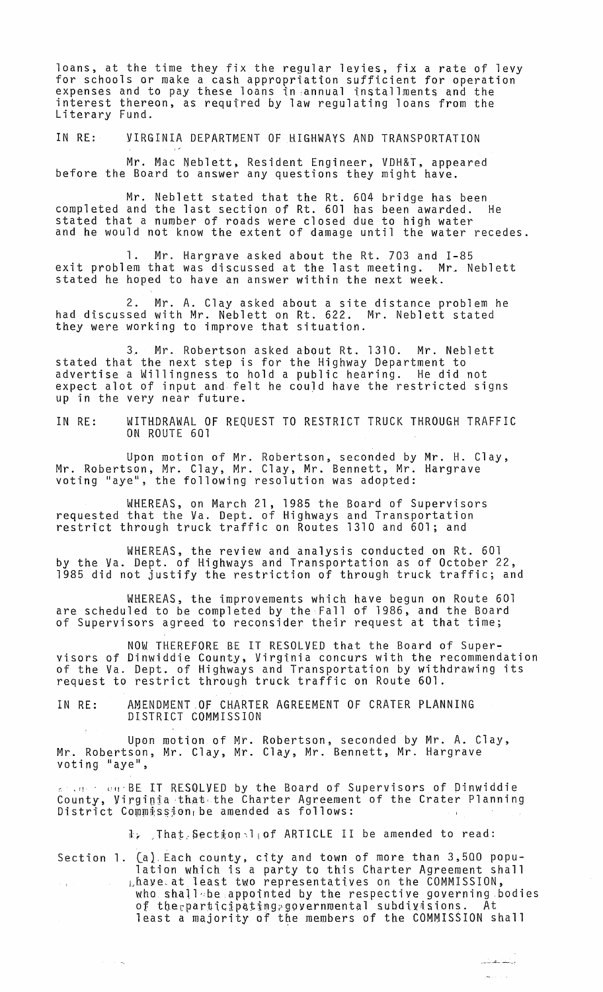loans, at the time they fix the regular levies, fix a rate of levy for schools or make a cash appropriation sufficient for operation expenses and to pay these loans in ,annual installments and the interest thereon, as required by law regulating loans from the Literary Fund.

IN RE: VIRGINIA DEPARTMENT OF HIGHWAYS AND TRANSPORTATION

Mr. Mac Neblett, Resident Engineer, VDH&T, appeared before the Board to answer any questions they might have.

Mr. Neblett stated that the Rt. 604 bridge has been completed and the last section of Rt. 601 has been awarded. He stated that a number of roads were closed due to high water and he would not know the extent of damage until the water recedes.

1. Mr. Hargrave asked about the Rt. 703 and 1-85 exit problem that was discussed at the last meeting. Mr. Neblett stated he hoped to have an answer within the next week.

2. Mr. A. Clay asked about a site distance problem he had discussed with Mr. Neblett on Rt. 622. Mr. Neblett stated they were working to improve that situation.

3. Mr. Robertson asked about Rt. 1310. Mr. Neblett stated that the next step is for the Highway Department to advertise a Willingness to hold a public hearing. He did not expect alot of input and felt he couJd have the restricted signs up in the very near future.

IN RE: WITHDRAWAL OF REQUEST TO RESTRICT TRUCK THROUGH TRAFFIC ON ROUTE 601

Upon motion of Mr. Robertson, seconded by Mr. H. Clay, Mr. Robertson, Mr. Clay, Mr. Clay, Mr. Bennett, Mr. Hargrave voting "aye", the following resolution was adopted:

WHEREAS, on March 21, 1985 the Board of Supervisors requested that the Va. Dept. of Highways and Transportation restrict through truck traffic on Routes 1310 and 601; and

WHEREAS, the review and analysis conducted on Rt. 601 by the Va. Dept. of Highways and Transportation as of October 22, 1985 did not justify the restriction of through truck traffic; and

WHEREAS, the improvements which have begun on Route 601 are scheduled to be completed by the Fall of 1986, and the Board of Supervisors agreed to reconsider their request at that time;

NOW THEREFORE BE IT RESOLVED that the Board of Supervisors of Dinwiddie County, Virginia concurs with the recommendation of the Va. Dept. of Highways and Transportation by withdrawing its request to restrict through truck traffic on Route 601.

IN RE: AMENDMENT OF CHARTER AGREEMENT OF CRATER PLANNING DISTRICT COMMISSION

 $\alpha = 1/\sqrt{2}$ 

Upon motion of Mr. Robertson, seconded by Mr. A. Clay, Mr. Robertson, Mr. Clay, Mr. Clay, Mr. Bennett, Mr. Hargrave voting "aye",

 $\epsilon \sim 0.1$  . July BE IT RESQLVED by the Board of Supervisors of Dinwiddie County, Virginia that the Charter Agreement of the Crater Planning District Commission, be amended as follows:

 $\mathbb{I}_k$  , That Section 1 of ARTICLE II be amended to read:

Section 1. (a) Each county, city and town of more than 3,500 population which is a party to this Charter Agreement shall Lhave at least two representatives on the COMMISSION, who shall be appointed by the respective governing bodies of the participating governmental subdivisions. At least a majority of the members of the COMMISSION shall

+ \_\_\_ ....J:}. \_\_\_\_\_ •

ال<br>الأول الأول الأول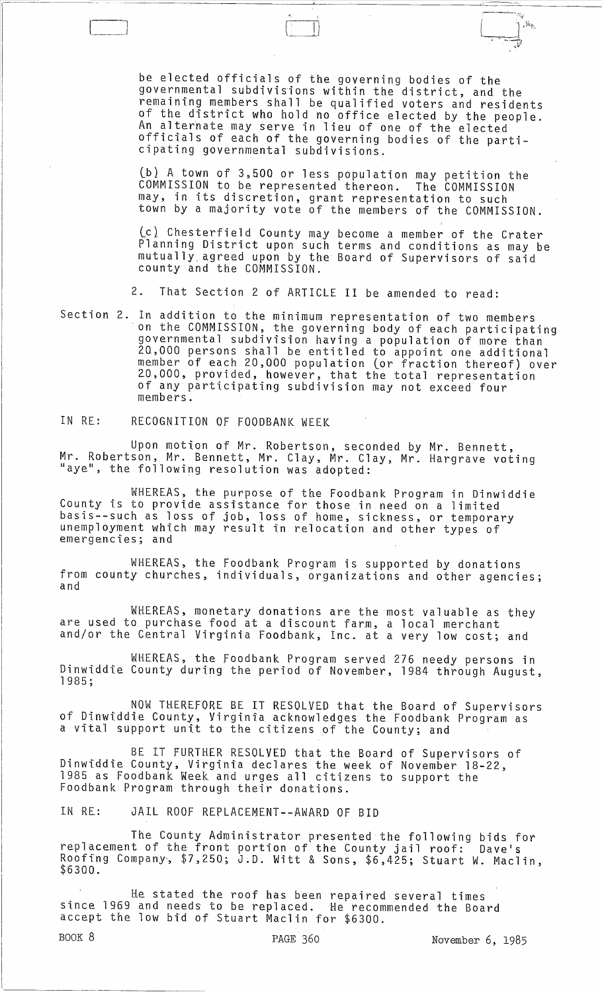be elected officials of the governing bodies of the governmental subdivisions within the district, and the remaining members shall be qualified voters and residents of the district who hold no office elected by the people. An alternate may serve in lieu of one of the elected officials of each of the governing bodies of the parti- cipating governmental subdivisions.

.<br>Ka

(b} A town of 3,500 or less population may petition the COMMISSION to be represented thereon. The COMMISSION may, in its discretion, grant representation to such town by a majority vote of the members of the COMMISSION.

(cl Chesterfield County may become a member of the Crater Planning District upon such terms and conditions as may be mutually. agreed upon by the Board of Supervisors of said county and the COMMISSION.

2. That Section 2 of ARTICLE II be amended to read:

Section 2. In addition to the minimum representation of two members<br>on the COMMISSION, the governing body of each participating governmental subdivision having a population of more than 2Q,000 persons shall be entitled to appoint one additional member of each 20,000 population (or fraction thereof) over 20,000, provided, however, that the total representation of any participating subdivision may not exceed four members.

IN RE: RECOGNITION OF FOODBANK WEEK

Upon motion of Mr. Robertson, seconded by Mr. Bennett, Mr. Robertson, Mr. Bennett, Mr. Clay, Mr. Clay, Mr. Hargrave voting "aye", the following resolution was adopted:

WHEREAS. the purpose of the Foodbank Program in Dinwiddie County is to provide assistance for those in need on a limited basis--such as loss of job, loss of home, sickness, or temporary unemployment which may result in relocation and other types of emergencies; and

WHEREAS, the Foodbank Program is supported by donations from county churches, individuals, organizations and other agencies;

WHEREAS, monetary donations are the most valuable as they are used to purchase food at a discount farm, a local merchant and/or the Central Virginia Foodbank, InCa at a very low cost; and

WHEREAS, the Foodbank Program served 276 needy persons in Dinwiddie County during the period of November, 1984 through August,<br>1985;

NOW THEREFORE BE IT RESOLVED that the Board of Supervisors of Dinwiddie County, Virginia acknowledges the Foodbank Program as a vital support unit to the citizens of the County; and

BE IT FURTHER RESOLVED that the Board of Supervisors of Dinwiddie County, Virginia declares the week of November 18-22, 1985 as Foodbank Week and urges all citizens to support the Foodbank Program through their donations.

IN RE: JAIL ROOF REPLACEMENT--AWARD OF BID

The County Administrator presented the following bids for replacement of the front portion of the County jail roof: Dave's Roofing Company', \$7,250; J.D. Witt & Sons, \$6,425; Stuart W. Maclin, \$6300.

He stated the roof has been repaired several times since 1969 and needs to be replaced. He recommended the Board accept the low bid of Stuart Maclin for \$6300.

BOOK 8 **PAGE 360** PAGE 360 November 6, 1985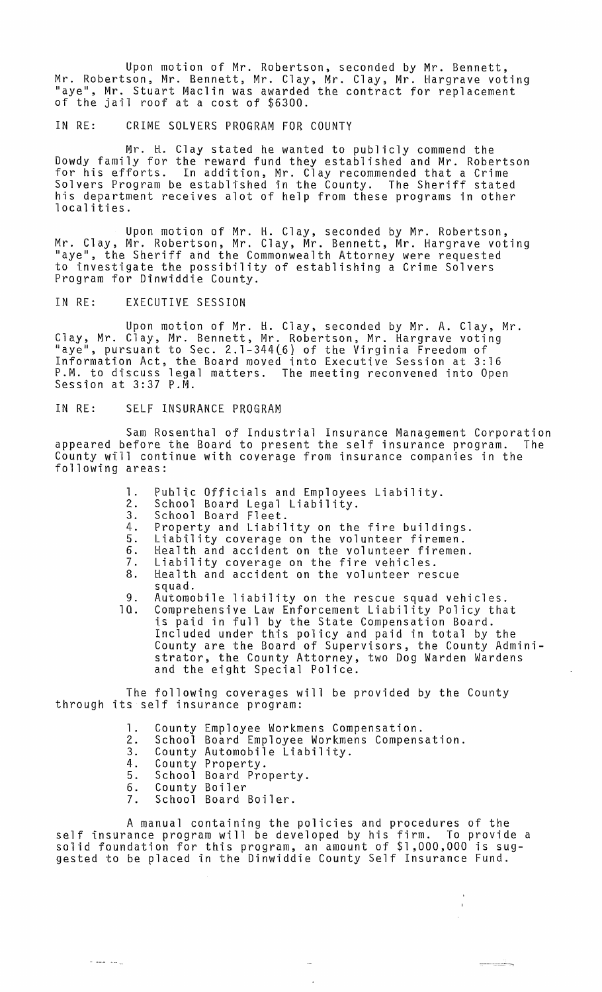Upon motion of Mr. Robertson, seconded by Mr. Bennett, Mr. Robertson, Mr. Bennett, Mr. Clay, Mr. Clay, Mr. Hargrave voting "aye", Mr. Stuart Maclin was awarded the contract for replacement<br>of the jail roof at a cost of \$6300.

## IN RE: CRIME SOLVERS PROGRAM FOR COUNTY

Mr. H. Clay stated he wanted to publicly commend the Dowdy family for the reward fund they established and Mr. Robertson for his efforts. In addition, Mr. Clay recommended that a Crime Solvers Program be established in the County. The Sheriff stated his department receives alot of help from these programs in other localities.

Upon motion of Mr. H. Clay, seconded by Mr. Robertson, Mr. Clay, Mr. Robertson, Mr. Clay, Mr. Bennett, Mr. Hargrave voting "aye", the Sheriff and the Commonwealth Attorney were requested to investigate the possibility of establishing a Crime Solvers Program for Dinwiddie. County.

IN RE: EXECUTIVE SESSION

Upon motton of Mr. H. Clay, seconded by Mr. A. Clay, Mr. Clay, Mr. Clay, Mr. Bennett, Mr. Robertson, Mr. Hargrave voting<br>"aye", pursuant to Sec. 2.1-344(6) of the Virginia Freedom of Information Act, the. Board moved into Executive Session at 3:16 P.M. to discuss legal matters. The meeting reconvened into Open<br>Session at 3:37 P.M.

## IN RE: SELF INSURANCE PROGRAM

Sam Rosenthal of Industrial Insurance Management Corporation<br>efore the Board to present the self insurance program. The appeared before the Board to present the self insurance program. County will continue with coverage from insurance companies in the following areas:

- 1. Public Officials and Employees Liability.<br>2. School Board Legal Liability.
- 
- 3. School Board Fleet.
- 3. School Board Fleet.<br>4. Property and Liability on the fire buildings.<br>5. Liability coyerage on the yolunteer firemen.
- 5. Liability coverage on the volunteer firemen.
- 6. Health and accident on the volunteer firemen.<br>7. Liability coverage on the fire vehicles.
- 7. Liability coverage on the fire vehicles.
- 8. Health and accident on the volunteer rescue squad.
- 9. Automobile liability on the rescue squad vehicles.
- Comprehensive Law Enforcement Liability Policy that is paid in full by the State Compensation Board. Included under this policy and paid in total by the County are the Board of Supervisors, the County Administrator, the County Attorney, two Dog Warden Wardens and the eight Special Police.

The following coverages will be provided by the County through its self insurance program:

- 1. County Employee Workmens Compensation.
- 2. School Board Employee Workmens Compensation. 2. School Board Employee Workme<br>3. County Automobile Liability.<br>4. County Property.
- 
- 
- 4. County Property.<br>5. School Board Property.
- 6. County Boiler

 $\sim$   $\sim$   $\sim$   $\sim$ 

7. School Board Boiler.

A manual containing the policies and procedures of the self insurance program will be developed by his firm. To provide a solid foundation for this program, an amount of \$1,000,000 is sug- gested to be placed in the Dinwiddie County Self Insurance Fund.

 $\overline{a}$ 

-~~--,

 $\bar{r}$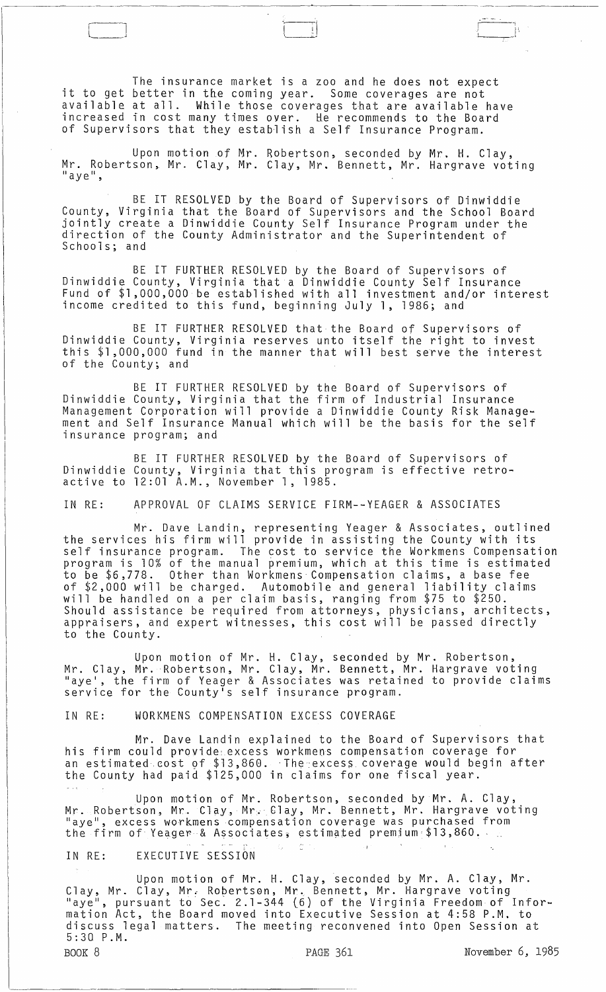The insurance market is a zoo and he does not expect it to get better in tne coming year. Some coverages are not available at all. While those coverages that are available have increased in cost many times over. He recommends to the Board of Supervisors that they establish a Self Insurance Program.

L\_J "-'j' I !.

Upon motion of Mr. Robertson, seconded by Mr. H. Clay, Mr. Robertson, Mr. Clay, Mr. Clay, Mr. Bennett, Mr. Hargrave voting<br>"aye",

BE IT RESOLVED by the Board of Supervisors of Dinwiddie County, Virginia that the Board of Supervisors and the School Board jointly create a Dinwiddie County Self Insurance Program under the direction of the County Administrator and the Superintendent of Schools; and

BE IT FURTHER RESOLVED by the Board of Supervisors of Dinwiddie County, Virginia that a Dinwiddie County Self Insurance Fund of \$1,000,000 be established with all investment and/or interest income credited to this fund, beginning July 1, 1986; and

BE IT FURTHER RESOLVED that the Board of Supervisors of Dinwiddie County, Virginia reserves unto itself the right to invest this \$1,000,000 fund in the manner that will best serve the interest of the County; and

BE IT FURTHER RESOLVED by the Board of Supervisors of Dinwiddie County, Virginia that the firm of Industrial Insurance Management Corporation will provide a Dinwiddie County Risk Management and Self Insurance Manual which will be the basis for the self insurance program; and

BE IT FURTHER RESOLVED by the Board of Supervisors of Dinwiddie County, Virginia that this program is effective retroactive to 12:01 A.M., November 1,1985.

IN RE: APPROVAL OF CLAIMS SERVICE FIRM--YEAGER & ASSOCIATES

Mr. Dave Landin, representing Yeager & Associates, outlined the services his firm will provide in assisting the County with its self insurance program. The cost to service the Workmens Compensation program is 10% of the manual premium, which at this time is estimated to be \$6,778. Other than Workmens Compensation claims, a base fee of \$2,000 will be charged. Automobile and general liability claims will be handled on a per claim basis, ranging from \$75 to \$250. Should assistance be required from attorneys, physicians, architects, appraisers, and expert witnesses, this cost will be passed directly to the County.

Upon motion of Mr. H. Clay, seconded by Mr. Robertson. Mr. Clay, Mr. Robertson, Mr. Clay, Mr. Bennett, Mr. Hargrave voting "aye', the firm of Yeager & Associates was retained to provide claims service for the County's self insurance program.

IN RE: WORKMENS COMPENSATION EXCESS COVERAGE

Mr. Dave Landin explained to the Board of Supervisors that his firm could provide excess workmens compensation coverage for an estimated cost of \$13,860. The excess coverage would begin after the County had paid \$125,000 in claims for one fiscal year.  $\sim$   $\sim$ 

Upon motion of Mr. Robertson, seconded by Mr. A. Clay, Mr. Robertson, Mr. Clay, Mr. Clay, Mr. Bennett, Mr. Hargrave voting<br>"aye", excess workmens compensation coverage was purchased from "aye", excess workmens compensation coverage was purchased from<br>the firm of Yeager & Associates, estimated premium \$13,860.

in China

A.

## IN RE: EXECUTIVE SESSION

Upon motion of Mr. H. Clay, seconded by Mr. A. Clay, Mr. Clay, Mr. Clay, Mr. Robertson, Mr. Bennett, Mr. Hargrave voting "aye", pursuant to Sec. 2.1-344 (6) of the Virginia Freedom of Information Act, the Board moved into Executive Session at 4:58 P.M. to discuss legal matters. The meeting reconvened into Open Session at 5:30 P.M.